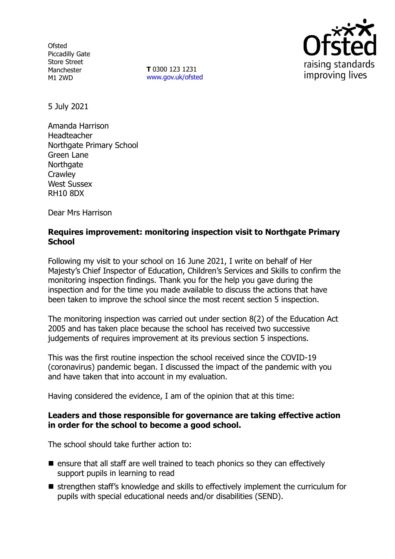**Ofsted** Piccadilly Gate Store Street Manchester M1 2WD

**T** 0300 123 1231 [www.gov.uk/ofsted](http://www.gov.uk/ofsted)



5 July 2021

Amanda Harrison Headteacher Northgate Primary School Green Lane **Northgate Crawley** West Sussex RH10 8DX

Dear Mrs Harrison

## **Requires improvement: monitoring inspection visit to Northgate Primary School**

Following my visit to your school on 16 June 2021, I write on behalf of Her Majesty's Chief Inspector of Education, Children's Services and Skills to confirm the monitoring inspection findings. Thank you for the help you gave during the inspection and for the time you made available to discuss the actions that have been taken to improve the school since the most recent section 5 inspection.

The monitoring inspection was carried out under section 8(2) of the Education Act 2005 and has taken place because the school has received two successive judgements of requires improvement at its previous section 5 inspections.

This was the first routine inspection the school received since the COVID-19 (coronavirus) pandemic began. I discussed the impact of the pandemic with you and have taken that into account in my evaluation.

Having considered the evidence, I am of the opinion that at this time:

### **Leaders and those responsible for governance are taking effective action in order for the school to become a good school.**

The school should take further action to:

- $\blacksquare$  ensure that all staff are well trained to teach phonics so they can effectively support pupils in learning to read
- strengthen staff's knowledge and skills to effectively implement the curriculum for pupils with special educational needs and/or disabilities (SEND).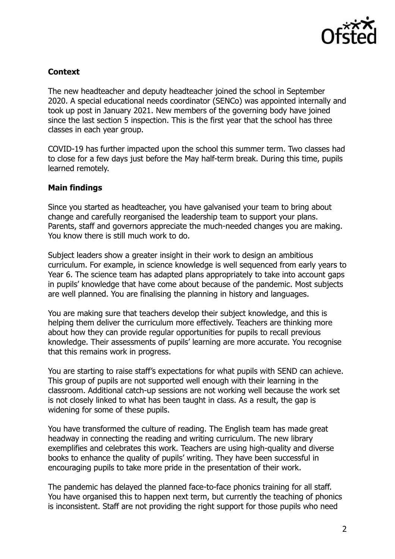

# **Context**

The new headteacher and deputy headteacher joined the school in September 2020. A special educational needs coordinator (SENCo) was appointed internally and took up post in January 2021. New members of the governing body have joined since the last section 5 inspection. This is the first year that the school has three classes in each year group.

COVID-19 has further impacted upon the school this summer term. Two classes had to close for a few days just before the May half-term break. During this time, pupils learned remotely.

### **Main findings**

Since you started as headteacher, you have galvanised your team to bring about change and carefully reorganised the leadership team to support your plans. Parents, staff and governors appreciate the much-needed changes you are making. You know there is still much work to do.

Subject leaders show a greater insight in their work to design an ambitious curriculum. For example, in science knowledge is well sequenced from early years to Year 6. The science team has adapted plans appropriately to take into account gaps in pupils' knowledge that have come about because of the pandemic. Most subjects are well planned. You are finalising the planning in history and languages.

You are making sure that teachers develop their subject knowledge, and this is helping them deliver the curriculum more effectively. Teachers are thinking more about how they can provide regular opportunities for pupils to recall previous knowledge. Their assessments of pupils' learning are more accurate. You recognise that this remains work in progress.

You are starting to raise staff's expectations for what pupils with SEND can achieve. This group of pupils are not supported well enough with their learning in the classroom. Additional catch-up sessions are not working well because the work set is not closely linked to what has been taught in class. As a result, the gap is widening for some of these pupils.

You have transformed the culture of reading. The English team has made great headway in connecting the reading and writing curriculum. The new library exemplifies and celebrates this work. Teachers are using high-quality and diverse books to enhance the quality of pupils' writing. They have been successful in encouraging pupils to take more pride in the presentation of their work.

The pandemic has delayed the planned face-to-face phonics training for all staff. You have organised this to happen next term, but currently the teaching of phonics is inconsistent. Staff are not providing the right support for those pupils who need